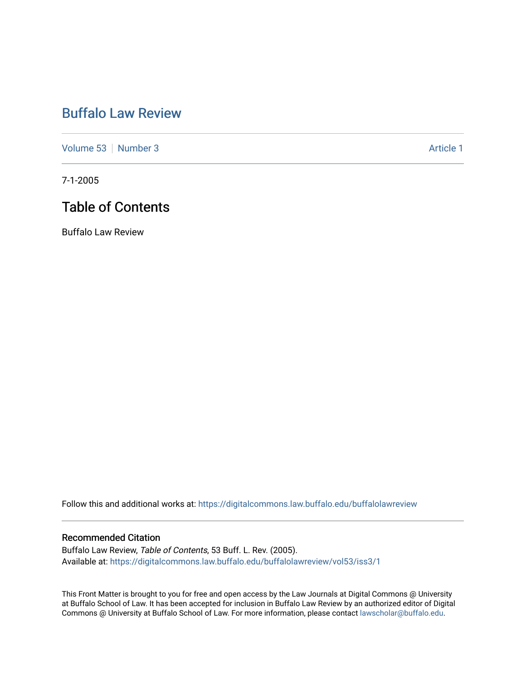## [Buffalo Law Review](https://digitalcommons.law.buffalo.edu/buffalolawreview)

[Volume 53](https://digitalcommons.law.buffalo.edu/buffalolawreview/vol53) [Number 3](https://digitalcommons.law.buffalo.edu/buffalolawreview/vol53/iss3) Article 1

7-1-2005

## Table of Contents

Buffalo Law Review

Follow this and additional works at: [https://digitalcommons.law.buffalo.edu/buffalolawreview](https://digitalcommons.law.buffalo.edu/buffalolawreview?utm_source=digitalcommons.law.buffalo.edu%2Fbuffalolawreview%2Fvol53%2Fiss3%2F1&utm_medium=PDF&utm_campaign=PDFCoverPages) 

#### Recommended Citation

Buffalo Law Review, Table of Contents, 53 Buff. L. Rev. (2005). Available at: [https://digitalcommons.law.buffalo.edu/buffalolawreview/vol53/iss3/1](https://digitalcommons.law.buffalo.edu/buffalolawreview/vol53/iss3/1?utm_source=digitalcommons.law.buffalo.edu%2Fbuffalolawreview%2Fvol53%2Fiss3%2F1&utm_medium=PDF&utm_campaign=PDFCoverPages) 

This Front Matter is brought to you for free and open access by the Law Journals at Digital Commons @ University at Buffalo School of Law. It has been accepted for inclusion in Buffalo Law Review by an authorized editor of Digital Commons @ University at Buffalo School of Law. For more information, please contact [lawscholar@buffalo.edu](mailto:lawscholar@buffalo.edu).